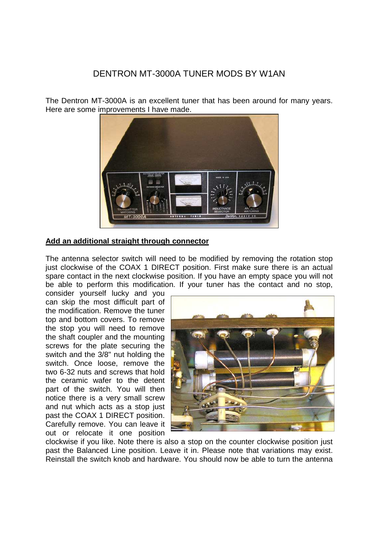## DENTRON MT-3000A TUNER MODS BY W1AN

The Dentron MT-3000A is an excellent tuner that has been around for many years. Here are some improvements I have made.



## **Add an additional straight through connector**

The antenna selector switch will need to be modified by removing the rotation stop just clockwise of the COAX 1 DIRECT position. First make sure there is an actual spare contact in the next clockwise position. If you have an empty space you will not be able to perform this modification. If your tuner has the contact and no stop,

consider yourself lucky and you can skip the most difficult part of the modification. Remove the tuner top and bottom covers. To remove the stop you will need to remove the shaft coupler and the mounting screws for the plate securing the switch and the 3/8" nut holding the switch. Once loose, remove the two 6-32 nuts and screws that hold the ceramic wafer to the detent part of the switch. You will then notice there is a very small screw and nut which acts as a stop just past the COAX 1 DIRECT position. Carefully remove. You can leave it out or relocate it one position



clockwise if you like. Note there is also a stop on the counter clockwise position just past the Balanced Line position. Leave it in. Please note that variations may exist. Reinstall the switch knob and hardware. You should now be able to turn the antenna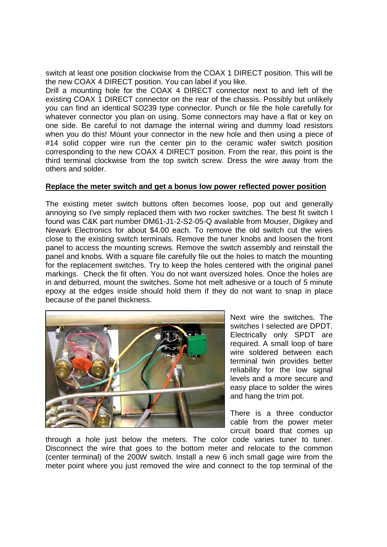switch at least one position clockwise from the COAX 1 DIRECT position. This will be the new COAX 4 DIRECT position. You can label if you like.

Drill a mounting hole for the COAX 4 DIRECT connector next to and left of the existing COAX 1 DIRECT connector on the rear of the chassis. Possibly but unlikely you can find an identical SO239 type connector. Punch or file the hole carefully for whatever connector you plan on using. Some connectors may have a flat or key on one side. Be careful to not damage the internal wiring and dummy load resistors when you do this! Mount your connector in the new hole and then using a piece of #14 solid copper wire run the center pin to the ceramic wafer switch position corresponding to the new COAX 4 DIRECT position. From the rear, this point is the third terminal clockwise from the top switch screw. Dress the wire away from the others and solder.

## **Replace the meter switch and get a bonus low power reflected power position**

The existing meter switch buttons often becomes loose, pop out and generally annoying so I've simply replaced them with two rocker switches. The best fit switch I found was C&K part number DM61-J1-2-S2-05-Q available from Mouser, Digikey and Newark Electronics for about \$4.00 each. To remove the old switch cut the wires close to the existing switch terminals. Remove the tuner knobs and loosen the front panel to access the mounting screws. Remove the switch assembly and reinstall the panel and knobs. With a square file carefully file out the holes to match the mounting for the replacement switches. Try to keep the holes centered with the original panel markings. Check the fit often. You do not want oversized holes. Once the holes are in and deburred, mount the switches. Some hot melt adhesive or a touch of 5 minute epoxy at the edges inside should hold them if they do not want to snap in place because of the panel thickness.



Next wire the switches. The switches I selected are DPDT. Electrically only SPDT are required. A small loop of bare wire soldered between each terminal twin provides better reliability for the low signal levels and a more secure and easy place to solder the wires and hang the trim pot.

There is a three conductor cable from the power meter circuit board that comes up

through a hole just below the meters. The color code varies tuner to tuner. Disconnect the wire that goes to the bottom meter and relocate to the common (center terminal) of the 200W switch. Install a new 6 inch small gage wire from the meter point where you just removed the wire and connect to the top terminal of the